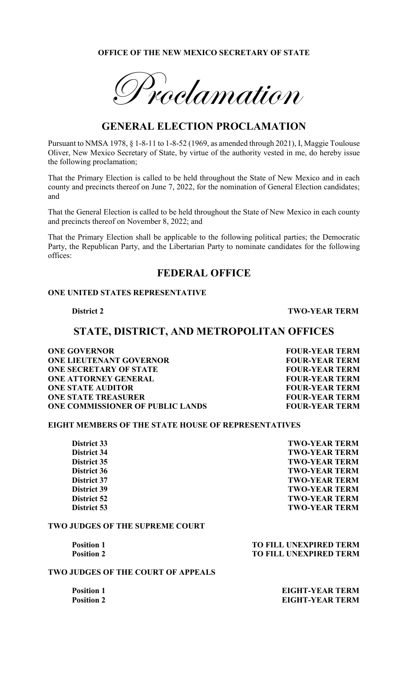### **OFFICE OF THE NEW MEXICO SECRETARY OF STATE**

 $P^+$ roclamation

## **GENERAL ELECTION PROCLAMATION**

Pursuant to NMSA 1978, § 1-8-11 to 1-8-52 (1969, as amended through 2021), I, Maggie Toulouse Oliver, New Mexico Secretary of State, by virtue of the authority vested in me, do hereby issue the following proclamation;

That the Primary Election is called to be held throughout the State of New Mexico and in each county and precincts thereof on June 7, 2022, for the nomination of General Election candidates; and

That the General Election is called to be held throughout the State of New Mexico in each county and precincts thereof on November 8, 2022; and

That the Primary Election shall be applicable to the following political parties; the Democratic Party, the Republican Party, and the Libertarian Party to nominate candidates for the following offices:

## **FEDERAL OFFICE**

### **ONE UNITED STATES REPRESENTATIVE**

**District 2 TWO-YEAR TERM**

### **STATE, DISTRICT, AND METROPOLITAN OFFICES**

**ONE GOVERNOR FOUR-YEAR TERM ONE LIEUTENANT GOVERNOR FOUR-YEAR TERM ONE SECRETARY OF STATE FOUR-YEAR TERM ONE ATTORNEY GENERAL FOUR-YEAR TERM ONE STATE AUDITOR FOUR-YEAR TERM ONE STATE TREASURER FOUR-YEAR TERM ONE COMMISSIONER OF PUBLIC LANDS FOUR-YEAR TERM** 

### **EIGHT MEMBERS OF THE STATE HOUSE OF REPRESENTATIVES**

**District 33** TWO-YEAR TERM **District 34 TWO-YEAR TERM District 35 TWO-YEAR TERM District 36 TWO-YEAR TERM** District 37<br>District 39 TWO-YEAR TERM<br>TWO-YEAR TERM **District 39 TWO-YEAR TERM District 52** TWO-YEAR TERM **District 53** TWO-YEAR TERM

### **TWO JUDGES OF THE SUPREME COURT**

**Position 1 TO FILL UNEXPIRED TERM Position 2** TO FILL UNEXPIRED TERM

#### **TWO JUDGES OF THE COURT OF APPEALS**

**Position 1 EIGHT-YEAR TERM Position 2** EIGHT-YEAR TERM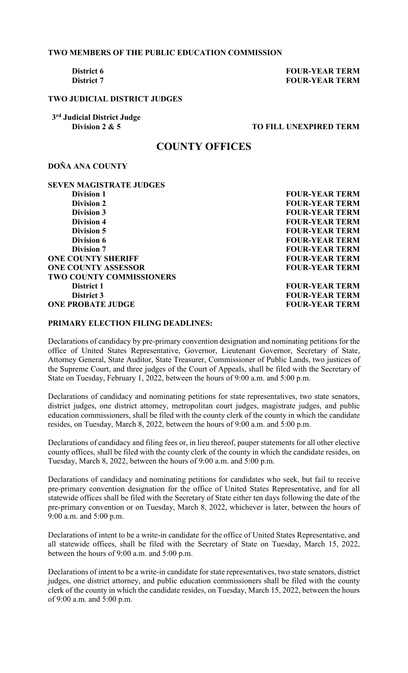### **TWO MEMBERS OF THE PUBLIC EDUCATION COMMISSION**

**District 6 FOUR-YEAR TERM District 7 FOUR-YEAR TERM** 

### **TWO JUDICIAL DISTRICT JUDGES**

 **3rd Judicial District Judge** 

### **TO FILL UNEXPIRED TERM**

### **COUNTY OFFICES**

### **DOÑA ANA COUNTY**

# **SEVEN MAGISTRATE JUDGES**

**Division 2**<br> **Division 3**<br> **Division 3**<br> **EQUR-YEAR TERM Division 3**<br> **Division 4**<br> **Division 4**<br> **POUR-YEAR TERM Division 5** FOUR-YEAR TERM **Division 6** FOUR-YEAR TERM **Division 7** FOUR-YEAR TERM **ONE COUNTY SHERIFF FOUR-YEAR TERM ONE COUNTY ASSESSOR FOUR-YEAR TERM TWO COUNTY COMMISSIONERS District 1 EXECUTE: FOUR-YEAR TERM District 3** FOUR-YEAR TERM **ONE PROBATE JUDGE FOUR-YEAR TERM** 

**Division 1**<br> **Division 2**<br> **Division 2**<br> **EQUR-YEAR TERM FOUR-YEAR TERM** 

### **PRIMARY ELECTION FILING DEADLINES:**

Declarations of candidacy by pre-primary convention designation and nominating petitions for the office of United States Representative, Governor, Lieutenant Governor, Secretary of State, Attorney General, State Auditor, State Treasurer, Commissioner of Public Lands, two justices of the Supreme Court, and three judges of the Court of Appeals, shall be filed with the Secretary of State on Tuesday, February 1, 2022, between the hours of 9:00 a.m. and 5:00 p.m.

Declarations of candidacy and nominating petitions for state representatives, two state senators, district judges, one district attorney, metropolitan court judges, magistrate judges, and public education commissioners, shall be filed with the county clerk of the county in which the candidate resides, on Tuesday, March 8, 2022, between the hours of 9:00 a.m. and 5:00 p.m.

Declarations of candidacy and filing fees or, in lieu thereof, pauper statements for all other elective county offices, shall be filed with the county clerk of the county in which the candidate resides, on Tuesday, March 8, 2022, between the hours of 9:00 a.m. and 5:00 p.m.

Declarations of candidacy and nominating petitions for candidates who seek, but fail to receive pre-primary convention designation for the office of United States Representative, and for all statewide offices shall be filed with the Secretary of State either ten days following the date of the pre-primary convention or on Tuesday, March 8, 2022, whichever is later, between the hours of 9:00 a.m. and 5:00 p.m.

Declarations of intent to be a write-in candidate for the office of United States Representative, and all statewide offices, shall be filed with the Secretary of State on Tuesday, March 15, 2022, between the hours of 9:00 a.m. and 5:00 p.m.

Declarations of intent to be a write-in candidate for state representatives, two state senators, district judges, one district attorney, and public education commissioners shall be filed with the county clerk of the county in which the candidate resides, on Tuesday, March 15, 2022, between the hours of 9:00 a.m. and 5:00 p.m.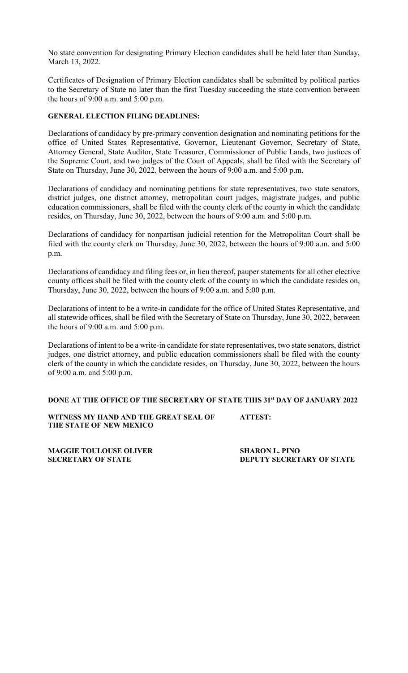No state convention for designating Primary Election candidates shall be held later than Sunday, March 13, 2022.

Certificates of Designation of Primary Election candidates shall be submitted by political parties to the Secretary of State no later than the first Tuesday succeeding the state convention between the hours of 9:00 a.m. and 5:00 p.m.

### **GENERAL ELECTION FILING DEADLINES:**

Declarations of candidacy by pre-primary convention designation and nominating petitions for the office of United States Representative, Governor, Lieutenant Governor, Secretary of State, Attorney General, State Auditor, State Treasurer, Commissioner of Public Lands, two justices of the Supreme Court, and two judges of the Court of Appeals, shall be filed with the Secretary of State on Thursday, June 30, 2022, between the hours of 9:00 a.m. and 5:00 p.m.

Declarations of candidacy and nominating petitions for state representatives, two state senators, district judges, one district attorney, metropolitan court judges, magistrate judges, and public education commissioners, shall be filed with the county clerk of the county in which the candidate resides, on Thursday, June 30, 2022, between the hours of 9:00 a.m. and 5:00 p.m.

Declarations of candidacy for nonpartisan judicial retention for the Metropolitan Court shall be filed with the county clerk on Thursday, June 30, 2022, between the hours of 9:00 a.m. and 5:00 p.m.

Declarations of candidacy and filing fees or, in lieu thereof, pauper statements for all other elective county offices shall be filed with the county clerk of the county in which the candidate resides on, Thursday, June 30, 2022, between the hours of 9:00 a.m. and 5:00 p.m.

Declarations of intent to be a write-in candidate for the office of United States Representative, and all statewide offices, shall be filed with the Secretary of State on Thursday, June 30, 2022, between the hours of 9:00 a.m. and 5:00 p.m.

Declarations of intent to be a write-in candidate for state representatives, two state senators, district judges, one district attorney, and public education commissioners shall be filed with the county clerk of the county in which the candidate resides, on Thursday, June 30, 2022, between the hours of 9:00 a.m. and 5:00 p.m.

### **DONE AT THE OFFICE OF THE SECRETARY OF STATE THIS 31st DAY OF JANUARY 2022**

**WITNESS MY HAND AND THE GREAT SEAL OF ATTEST: THE STATE OF NEW MEXICO**

**MAGGIE TOULOUSE OLIVER SHARON L. PINO**

**SECRETARY OF STATE DEPUTY SECRETARY OF STATE**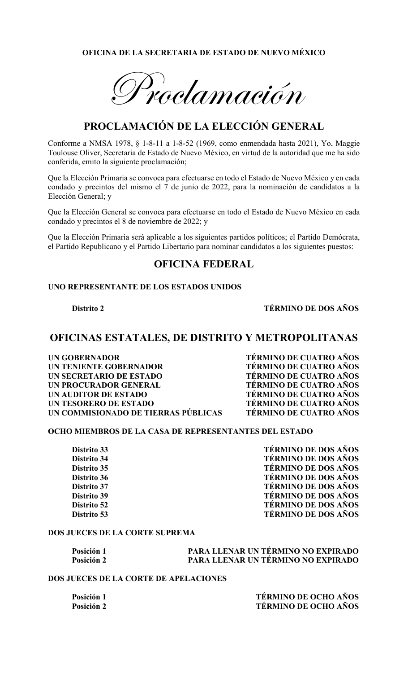### **OFICINA DE LA SECRETARIA DE ESTADO DE NUEVO MÉXICO**

Proclamación

## **PROCLAMACIÓN DE LA ELECCIÓN GENERAL**

Conforme a NMSA 1978, § 1-8-11 a 1-8-52 (1969, como enmendada hasta 2021), Yo, Maggie Toulouse Oliver, Secretaria de Estado de Nuevo México, en virtud de la autoridad que me ha sido conferida, emito la siguiente proclamación;

Que la Elección Primaria se convoca para efectuarse en todo el Estado de Nuevo México y en cada condado y precintos del mismo el 7 de junio de 2022, para la nominación de candidatos a la Elección General; y

Que la Elección General se convoca para efectuarse en todo el Estado de Nuevo México en cada condado y precintos el 8 de noviembre de 2022; y

Que la Elección Primaria será aplicable a los siguientes partidos políticos; el Partido Demócrata, el Partido Republicano y el Partido Libertario para nominar candidatos a los siguientes puestos:

### **OFICINA FEDERAL**

#### **UNO REPRESENTANTE DE LOS ESTADOS UNIDOS**

**Distrito 2 TÉRMINO DE DOS AÑOS**

## **OFICINAS ESTATALES, DE DISTRITO Y METROPOLITANAS**

**UN GOBERNADOR TÉRMINO DE CUATRO AÑOS UN TENIENTE GOBERNADOR TÉRMINO DE CUATRO AÑOS UN SECRETARIO DE ESTADO TÉRMINO DE CUATRO AÑOS UN PROCURADOR GENERAL<br>UN AUDITOR DE ESTADO UN TESORERO DE ESTADO TÉRMINO DE CUATRO AÑOS UN COMMISIONADO DE TIERRAS PÚBLICAS TÉRMINO DE CUATRO AÑOS**

**TÉRMINO DE CUATRO AÑOS** 

### **OCHO MIEMBROS DE LA CASA DE REPRESENTANTES DEL ESTADO**

Distrito 33<br>Distrito 34 **TÉRMINO DE DOS AÑOS**<br>TÉRMINO DE DOS AÑOS **Distrito 34 TÉRMINO DE DOS AÑOS Distrito 35 TÉRMINO DE DOS AÑOS Distrito 36 TÉRMINO DE DOS AÑOS Distrito 37 TÉRMINO DE DOS AÑOS Distrito 39 TÉRMINO DE DOS AÑOS Distrito 52 TÉRMINO DE DOS AÑOS Distrito 53 TÉRMINO DE DOS AÑOS**

### **DOS JUECES DE LA CORTE SUPREMA**

| Posición 1 | <b>PARA LLENAR UN TÉRMINO NO EXPIRADO</b> |
|------------|-------------------------------------------|
| Posición 2 | PARA LLENAR UN TÉRMINO NO EXPIRADO        |

### **DOS JUECES DE LA CORTE DE APELACIONES**

**Posición 1 TÉRMINO DE OCHO AÑOS Posición 2 TÉRMINO DE OCHO AÑOS**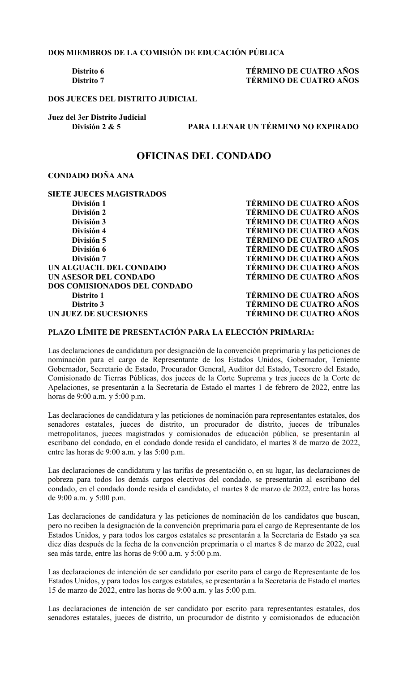**DOS MIEMBROS DE LA COMISIÓN DE EDUCACIÓN PÚBLICA**

### **Distrito 6 TÉRMINO DE CUATRO AÑOS Distrito 7 TÉRMINO DE CUATRO AÑOS**

**DOS JUECES DEL DISTRITO JUDICIAL**

**Juez del 3er Distrito Judicial** 

**División 2 & 5 PARA LLENAR UN TÉRMINO NO EXPIRADO**

### **OFICINAS DEL CONDADO**

### **CONDADO DOÑA ANA**

**SIETE JUECES MAGISTRADOS**<br>División 1 **División 1 TÉRMINO DE CUATRO AÑOS<br>División 2 TÉRMINO DE CUATRO AÑOS División 2**<br>División 3<br>**División 3**<br>TÉRMINO DE CUATRO AÑOS **División 4 TÉRMINO DE CUATRO AÑOS División 5 TÉRMINO DE CUATRO AÑOS División 6 TÉRMINO DE CUATRO AÑOS División 7<br>GUACIL DEL CONDADO TÉRMINO DE CUATRO AÑOS UN ALGUACIL DEL CONDADO UN ASESOR DEL CONDADO TÉRMINO DE CUATRO AÑOS DOS COMISIONADOS DEL CONDADO Distrito 1 TÉRMINO DE CUATRO AÑOS Distrito 3 TÉRMINO DE CUATRO AÑOS UN JUEZ DE SUCESIONES TÉRMINO DE CUATRO AÑOS**

**TÉRMINO DE CUATRO AÑOS** 

### **PLAZO LÍMITE DE PRESENTACIÓN PARA LA ELECCIÓN PRIMARIA:**

Las declaraciones de candidatura por designación de la convención preprimaria y las peticiones de nominación para el cargo de Representante de los Estados Unidos, Gobernador, Teniente Gobernador, Secretario de Estado, Procurador General, Auditor del Estado, Tesorero del Estado, Comisionado de Tierras Públicas, dos jueces de la Corte Suprema y tres jueces de la Corte de Apelaciones, se presentarán a la Secretaria de Estado el martes 1 de febrero de 2022, entre las horas de 9:00 a.m. y 5:00 p.m.

Las declaraciones de candidatura y las peticiones de nominación para representantes estatales, dos senadores estatales, jueces de distrito, un procurador de distrito, jueces de tribunales metropolitanos, jueces magistrados y comisionados de educación pública, se presentarán al escribano del condado, en el condado donde resida el candidato, el martes 8 de marzo de 2022, entre las horas de 9:00 a.m. y las 5:00 p.m.

Las declaraciones de candidatura y las tarifas de presentación o, en su lugar, las declaraciones de pobreza para todos los demás cargos electivos del condado, se presentarán al escribano del condado, en el condado donde resida el candidato, el martes 8 de marzo de 2022, entre las horas de 9:00 a.m. y 5:00 p.m.

Las declaraciones de candidatura y las peticiones de nominación de los candidatos que buscan, pero no reciben la designación de la convención preprimaria para el cargo de Representante de los Estados Unidos, y para todos los cargos estatales se presentarán a la Secretaria de Estado ya sea diez días después de la fecha de la convención preprimaria o el martes 8 de marzo de 2022, cual sea más tarde, entre las horas de 9:00 a.m. y 5:00 p.m.

Las declaraciones de intención de ser candidato por escrito para el cargo de Representante de los Estados Unidos, y para todos los cargos estatales, se presentarán a la Secretaria de Estado el martes 15 de marzo de 2022, entre las horas de 9:00 a.m. y las 5:00 p.m.

Las declaraciones de intención de ser candidato por escrito para representantes estatales, dos senadores estatales, jueces de distrito, un procurador de distrito y comisionados de educación